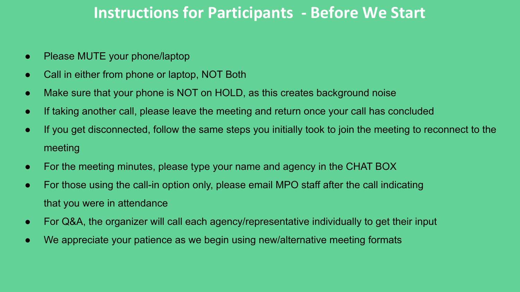### **Instructions for Participants - Before We Start**

- Please MUTE your phone/laptop
- Call in either from phone or laptop, NOT Both
- Make sure that your phone is NOT on HOLD, as this creates background noise
- If taking another call, please leave the meeting and return once your call has concluded
- If you get disconnected, follow the same steps you initially took to join the meeting to reconnect to the meeting
- For the meeting minutes, please type your name and agency in the CHAT BOX
- For those using the call-in option only, please email MPO staff after the call indicating that you were in attendance
- For Q&A, the organizer will call each agency/representative individually to get their input
- We appreciate your patience as we begin using new/alternative meeting formats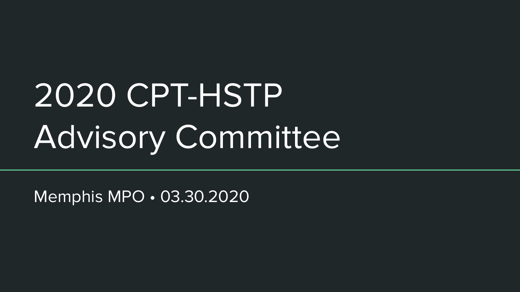# 2020 CPT-HSTP Advisory Committee

Memphis MPO • 03.30.2020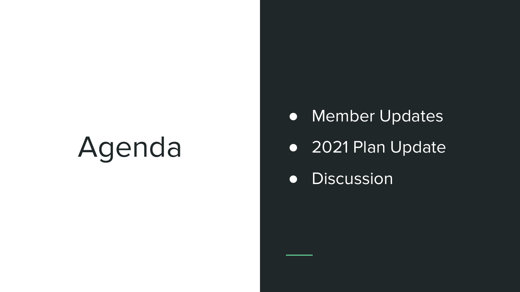# Agenda

- Member Updates
- 2021 Plan Update
- Discussion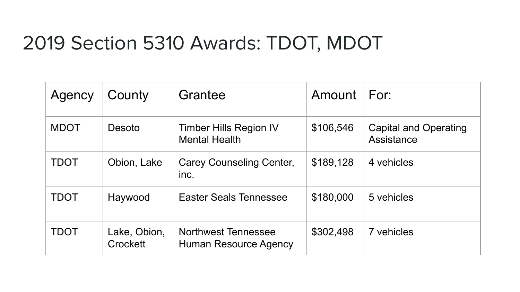## 2019 Section 5310 Awards: TDOT, MDOT

| Agency      | County                   | Grantee                                               | Amount    | For:                                |
|-------------|--------------------------|-------------------------------------------------------|-----------|-------------------------------------|
| <b>MDOT</b> | Desoto                   | <b>Timber Hills Region IV</b><br><b>Mental Health</b> | \$106,546 | Capital and Operating<br>Assistance |
| <b>TDOT</b> | Obion, Lake              | Carey Counseling Center,<br>inc.                      | \$189,128 | 4 vehicles                          |
| <b>TDOT</b> | Haywood                  | <b>Easter Seals Tennessee</b>                         | \$180,000 | 5 vehicles                          |
| TDOT        | Lake, Obion,<br>Crockett | <b>Northwest Tennessee</b><br>Human Resource Agency   | \$302,498 | 7 vehicles                          |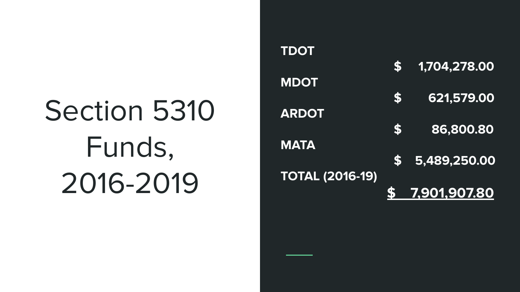# Section 5310 Funds, 2016-2019

**TDOT \$ 1,704,278.00 MDOT \$ 621,579.00 ARDOT \$ 86,800.80 MATA \$ 5,489,250.00 TOTAL (2016-19) \$ 7,901,907.80**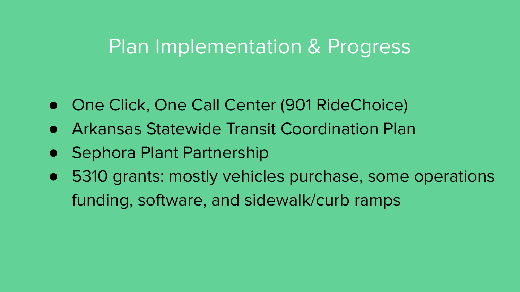## Plan Implementation & Progress

- One Click, One Call Center (901 RideChoice)
- Arkansas Statewide Transit Coordination Plan
- Sephora Plant Partnership
- 5310 grants: mostly vehicles purchase, some operations funding, software, and sidewalk/curb ramps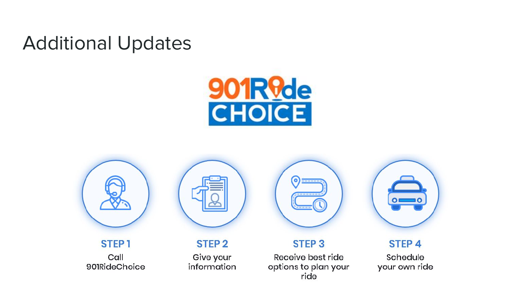## Additional Updates





STEP<sub>1</sub> Call 901RideChoice



**STEP 2** 

Give your information



#### **STEP 3**

Receive best ride options to plan your ride



#### STEP<sub>4</sub>

Schedule your own ride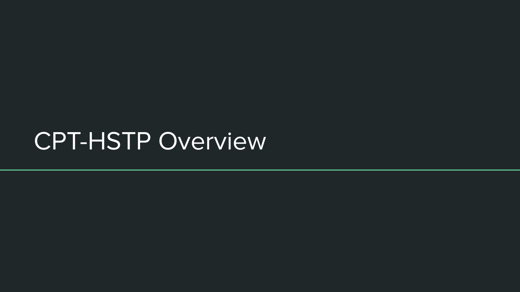## CPT-HSTP Overview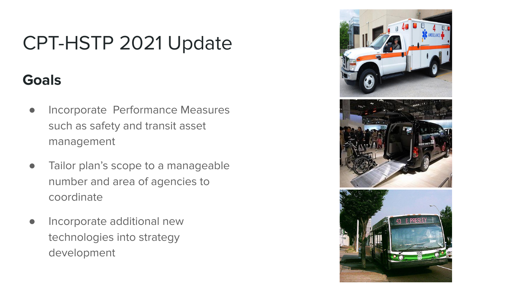## CPT-HSTP 2021 Update

### **Goals**

- Incorporate Performance Measures such as safety and transit asset management
- Tailor plan's scope to a manageable number and area of agencies to coordinate
- Incorporate additional new technologies into strategy development





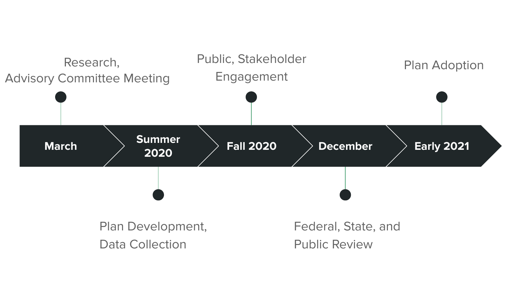